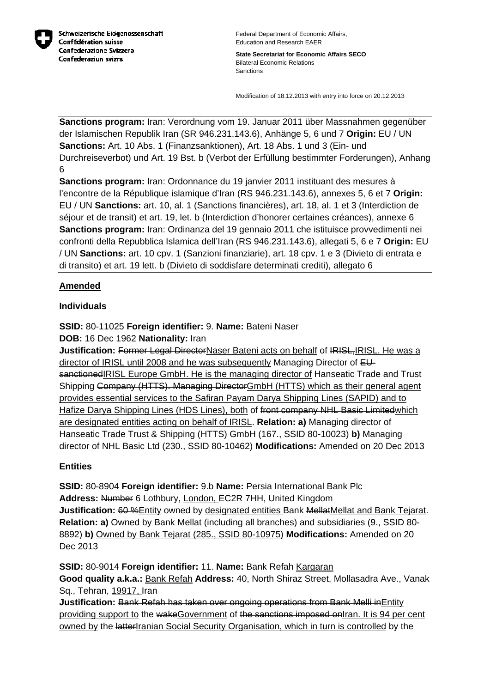

**State Secretariat for Economic Affairs SECO** Bilateral Economic Relations Sanctions

Modification of 18.12.2013 with entry into force on 20.12.2013

**Sanctions program:** Iran: Verordnung vom 19. Januar 2011 über Massnahmen gegenüber der Islamischen Republik Iran (SR 946.231.143.6), Anhänge 5, 6 und 7 **Origin:** EU / UN **Sanctions:** Art. 10 Abs. 1 (Finanzsanktionen), Art. 18 Abs. 1 und 3 (Ein- und Durchreiseverbot) und Art. 19 Bst. b (Verbot der Erfüllung bestimmter Forderungen), Anhang 6

**Sanctions program:** Iran: Ordonnance du 19 janvier 2011 instituant des mesures à l'encontre de la République islamique d'Iran (RS 946.231.143.6), annexes 5, 6 et 7 **Origin:** EU / UN **Sanctions:** art. 10, al. 1 (Sanctions financières), art. 18, al. 1 et 3 (Interdiction de séjour et de transit) et art. 19, let. b (Interdiction d'honorer certaines créances), annexe 6 **Sanctions program:** Iran: Ordinanza del 19 gennaio 2011 che istituisce provvedimenti nei confronti della Repubblica Islamica dell'Iran (RS 946.231.143.6), allegati 5, 6 e 7 **Origin:** EU / UN **Sanctions:** art. 10 cpv. 1 (Sanzioni finanziarie), art. 18 cpv. 1 e 3 (Divieto di entrata e di transito) et art. 19 lett. b (Divieto di soddisfare determinati crediti), allegato 6

# **Amended**

## **Individuals**

**SSID:** 80-11025 **Foreign identifier:** 9. **Name:** Bateni Naser

**DOB:** 16 Dec 1962 **Nationality:** Iran

**Justification: Former Legal DirectorNaser Bateni acts on behalf of IRISL, IRISL. He was a** director of IRISL until 2008 and he was subsequently Managing Director of EUsanctionedIRISL Europe GmbH. He is the managing director of Hanseatic Trade and Trust Shipping Company (HTTS). Managing DirectorGmbH (HTTS) which as their general agent provides essential services to the Safiran Payam Darya Shipping Lines (SAPID) and to Hafize Darya Shipping Lines (HDS Lines), both of front company NHL Basic Limitedwhich are designated entities acting on behalf of IRISL. **Relation: a)** Managing director of Hanseatic Trade Trust & Shipping (HTTS) GmbH (167., SSID 80-10023) **b)** Managing director of NHL Basic Ltd (230., SSID 80-10462) **Modifications:** Amended on 20 Dec 2013

## **Entities**

**SSID:** 80-8904 **Foreign identifier:** 9.b **Name:** Persia International Bank Plc **Address:** Number 6 Lothbury, London, EC2R 7HH, United Kingdom **Justification:** 60 %Entity owned by designated entities Bank MellatMellat and Bank Tejarat. **Relation: a)** Owned by Bank Mellat (including all branches) and subsidiaries (9., SSID 80- 8892) **b)** Owned by Bank Tejarat (285., SSID 80-10975) **Modifications:** Amended on 20 Dec 2013

**SSID:** 80-9014 **Foreign identifier:** 11. **Name:** Bank Refah Kargaran **Good quality a.k.a.:** Bank Refah **Address:** 40, North Shiraz Street, Mollasadra Ave., Vanak Sq., Tehran, 19917, Iran

**Justification:** Bank Refah has taken over ongoing operations from Bank Melli inEntity providing support to the wakeGovernment of the sanctions imposed onlran. It is 94 per cent owned by the latterIranian Social Security Organisation, which in turn is controlled by the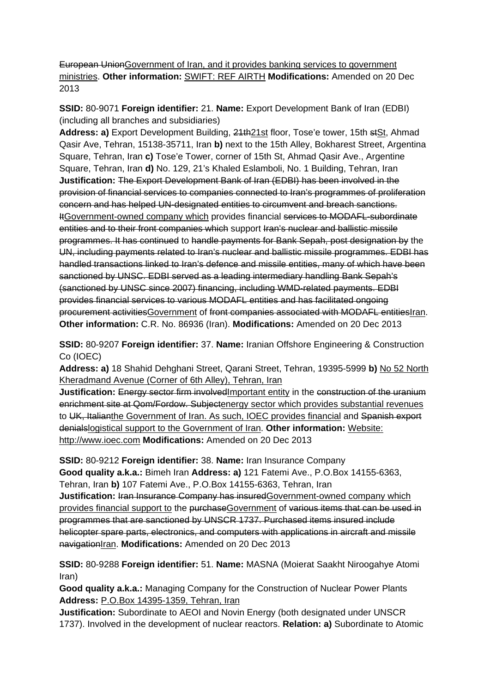European UnionGovernment of Iran, and it provides banking services to government ministries. **Other information:** SWIFT: REF AIRTH **Modifications:** Amended on 20 Dec 2013

**SSID:** 80-9071 **Foreign identifier:** 21. **Name:** Export Development Bank of Iran (EDBI) (including all branches and subsidiaries)

**Address: a)** Export Development Building, 21th21st floor, Tose'e tower, 15th stSt, Ahmad Qasir Ave, Tehran, 15138-35711, Iran **b)** next to the 15th Alley, Bokharest Street, Argentina Square, Tehran, Iran **c)** Tose'e Tower, corner of 15th St, Ahmad Qasir Ave., Argentine Square, Tehran, Iran **d)** No. 129, 21's Khaled Eslamboli, No. 1 Building, Tehran, Iran **Justification:** The Export Development Bank of Iran (EDBI) has been involved in the provision of financial services to companies connected to Iran's programmes of proliferation concern and has helped UN-designated entities to circumvent and breach sanctions. ItGovernment-owned company which provides financial services to MODAFL-subordinate entities and to their front companies which support Iran's nuclear and ballistic missile programmes. It has continued to handle payments for Bank Sepah, post designation by the UN, including payments related to Iran's nuclear and ballistic missile programmes. EDBI has handled transactions linked to Iran's defence and missile entities, many of which have been sanctioned by UNSC. EDBI served as a leading intermediary handling Bank Sepah's (sanctioned by UNSC since 2007) financing, including WMD-related payments. EDBI provides financial services to various MODAFL entities and has facilitated ongoing procurement activitiesGovernment of front companies associated with MODAFL entitiesIran. **Other information:** C.R. No. 86936 (Iran). **Modifications:** Amended on 20 Dec 2013

**SSID:** 80-9207 **Foreign identifier:** 37. **Name:** Iranian Offshore Engineering & Construction Co (IOEC)

**Address: a)** 18 Shahid Dehghani Street, Qarani Street, Tehran, 19395-5999 **b)** No 52 North Kheradmand Avenue (Corner of 6th Alley), Tehran, Iran

**Justification:** Energy sector firm involvedImportant entity in the construction of the uranium enrichment site at Qom/Fordow. Subjectenergy sector which provides substantial revenues to UK, Italianthe Government of Iran. As such, IOEC provides financial and Spanish export denialslogistical support to the Government of Iran. **Other information:** Website: http://www.ioec.com **Modifications:** Amended on 20 Dec 2013

**SSID:** 80-9212 **Foreign identifier:** 38. **Name:** Iran Insurance Company **Good quality a.k.a.:** Bimeh Iran **Address: a)** 121 Fatemi Ave., P.O.Box 14155-6363, Tehran, Iran **b)** 107 Fatemi Ave., P.O.Box 14155-6363, Tehran, Iran **Justification: Iran Insurance Company has insured Government-owned company which** provides financial support to the purchaseGovernment of various items that can be used in programmes that are sanctioned by UNSCR 1737. Purchased items insured include helicopter spare parts, electronics, and computers with applications in aircraft and missile navigationIran. **Modifications:** Amended on 20 Dec 2013

**SSID:** 80-9288 **Foreign identifier:** 51. **Name:** MASNA (Moierat Saakht Niroogahye Atomi Iran)

**Good quality a.k.a.:** Managing Company for the Construction of Nuclear Power Plants **Address:** P.O.Box 14395-1359, Tehran, Iran

**Justification:** Subordinate to AEOI and Novin Energy (both designated under UNSCR 1737). Involved in the development of nuclear reactors. **Relation: a)** Subordinate to Atomic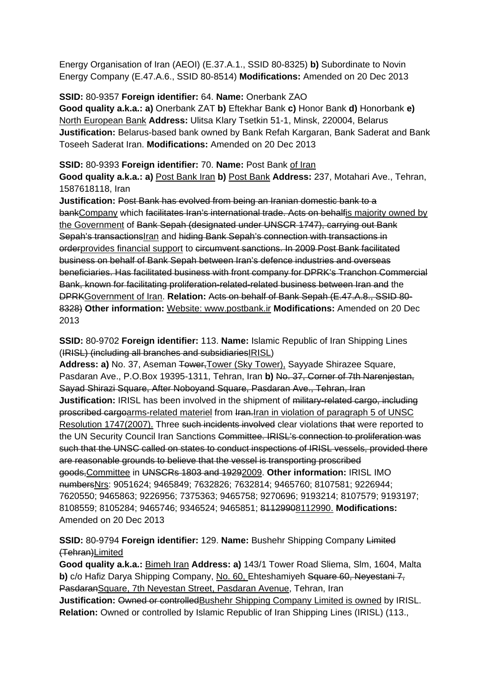Energy Organisation of Iran (AEOI) (E.37.A.1., SSID 80-8325) **b)** Subordinate to Novin Energy Company (E.47.A.6., SSID 80-8514) **Modifications:** Amended on 20 Dec 2013

## **SSID:** 80-9357 **Foreign identifier:** 64. **Name:** Onerbank ZAO

**Good quality a.k.a.: a)** Onerbank ZAT **b)** Eftekhar Bank **c)** Honor Bank **d)** Honorbank **e)**  North European Bank **Address:** Ulitsa Klary Tsetkin 51-1, Minsk, 220004, Belarus **Justification:** Belarus-based bank owned by Bank Refah Kargaran, Bank Saderat and Bank Toseeh Saderat Iran. **Modifications:** Amended on 20 Dec 2013

### **SSID:** 80-9393 **Foreign identifier:** 70. **Name:** Post Bank of Iran

**Good quality a.k.a.: a)** Post Bank Iran **b)** Post Bank **Address:** 237, Motahari Ave., Tehran, 1587618118, Iran

**Justification:** Post Bank has evolved from being an Iranian domestic bank to a bankCompany which facilitates Iran's international trade. Acts on behalf is majority owned by the Government of Bank Sepah (designated under UNSCR 1747), carrying out Bank Sepah's transactionsIran and hiding Bank Sepah's connection with transactions in orderprovides financial support to circumvent sanctions. In 2009 Post Bank facilitated business on behalf of Bank Sepah between Iran's defence industries and overseas beneficiaries. Has facilitated business with front company for DPRK's Tranchon Commercial Bank, known for facilitating proliferation-related-related business between Iran and the DPRKGovernment of Iran. **Relation:** Acts on behalf of Bank Sepah (E.47.A.8., SSID 80- 8328) **Other information:** Website: www.postbank.ir **Modifications:** Amended on 20 Dec 2013

**SSID:** 80-9702 **Foreign identifier:** 113. **Name:** Islamic Republic of Iran Shipping Lines (IRISL) (including all branches and subsidiariesIRISL)

**Address: a)** No. 37, Aseman Tower,Tower (Sky Tower), Sayyade Shirazee Square, Pasdaran Ave., P.O.Box 19395-1311, Tehran, Iran **b)** No. 37, Corner of 7th Narenjestan, Sayad Shirazi Square, After Noboyand Square, Pasdaran Ave., Tehran, Iran **Justification:** IRISL has been involved in the shipment of military-related cargo, including proscribed cargoarms-related materiel from Iran.Iran in violation of paragraph 5 of UNSC Resolution 1747(2007). Three such incidents involved clear violations that were reported to the UN Security Council Iran Sanctions Committee. IRISL's connection to proliferation was such that the UNSC called on states to conduct inspections of IRISL vessels, provided there are reasonable grounds to believe that the vessel is transporting proscribed goods,Committee in UNSCRs 1803 and 19292009. **Other information:** IRISL IMO numbersNrs: 9051624; 9465849; 7632826; 7632814; 9465760; 8107581; 9226944; 7620550; 9465863; 9226956; 7375363; 9465758; 9270696; 9193214; 8107579; 9193197; 8108559; 8105284; 9465746; 9346524; 9465851; 81129908112990. **Modifications:**  Amended on 20 Dec 2013

**SSID:** 80-9794 **Foreign identifier:** 129. **Name:** Bushehr Shipping Company Limited (Tehran)Limited

**Good quality a.k.a.:** Bimeh Iran **Address: a)** 143/1 Tower Road Sliema, Slm, 1604, Malta **b)**  $c$ /o Hafiz Darya Shipping Company, No. 60, Ehteshamiyeh Square 60, Neyestani 7, PasdaranSquare, 7th Neyestan Street, Pasdaran Avenue, Tehran, Iran **Justification: Owned or controlledBushehr Shipping Company Limited is owned by IRISL. Relation:** Owned or controlled by Islamic Republic of Iran Shipping Lines (IRISL) (113.,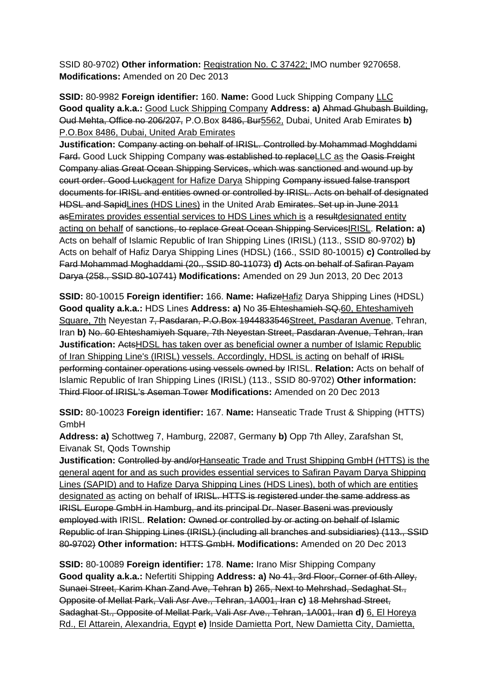SSID 80-9702) **Other information:** Registration No. C 37422; IMO number 9270658. **Modifications:** Amended on 20 Dec 2013

**SSID:** 80-9982 **Foreign identifier:** 160. **Name:** Good Luck Shipping Company LLC **Good quality a.k.a.:** Good Luck Shipping Company **Address: a)** Ahmad Ghubash Building, Oud Mehta, Office no 206/207, P.O.Box 8486, Bur5562, Dubai, United Arab Emirates **b)**  P.O.Box 8486, Dubai, United Arab Emirates

**Justification:** Company acting on behalf of IRISL. Controlled by Mohammad Moghddami Fard. Good Luck Shipping Company was established to replaceLLC as the Oasis Freight Company alias Great Ocean Shipping Services, which was sanctioned and wound up by court order. Good Luckagent for Hafize Darya Shipping Company issued false transport documents for IRISL and entities owned or controlled by IRISL. Acts on behalf of designated HDSL and SapidLines (HDS Lines) in the United Arab Emirates. Set up in June 2011 asEmirates provides essential services to HDS Lines which is a resultdesignated entity acting on behalf of sanctions, to replace Great Ocean Shipping ServicesIRISL. **Relation: a)**  Acts on behalf of Islamic Republic of Iran Shipping Lines (IRISL) (113., SSID 80-9702) **b)**  Acts on behalf of Hafiz Darya Shipping Lines (HDSL) (166., SSID 80-10015) **c)** Controlled by Fard Mohammad Moghaddami (20., SSID 80-11073) **d)** Acts on behalf of Safiran Payam Darya (258., SSID 80-10741) **Modifications:** Amended on 29 Jun 2013, 20 Dec 2013

**SSID:** 80-10015 **Foreign identifier:** 166. **Name:** HafizeHafiz Darya Shipping Lines (HDSL) **Good quality a.k.a.:** HDS Lines **Address: a)** No 35 Ehteshamieh SQ.60, Ehteshamiyeh Square, 7th Nevestan 7, Pasdaran, P.O.Box 1944833546Street, Pasdaran Avenue, Tehran, Iran **b)** No. 60 Ehteshamiyeh Square, 7th Neyestan Street, Pasdaran Avenue, Tehran, Iran **Justification:** ActsHDSL has taken over as beneficial owner a number of Islamic Republic of Iran Shipping Line's (IRISL) vessels. Accordingly, HDSL is acting on behalf of IRISL performing container operations using vessels owned by IRISL. **Relation:** Acts on behalf of Islamic Republic of Iran Shipping Lines (IRISL) (113., SSID 80-9702) **Other information:** Third Floor of IRISL's Aseman Tower **Modifications:** Amended on 20 Dec 2013

**SSID:** 80-10023 **Foreign identifier:** 167. **Name:** Hanseatic Trade Trust & Shipping (HTTS) GmbH

**Address: a)** Schottweg 7, Hamburg, 22087, Germany **b)** Opp 7th Alley, Zarafshan St, Eivanak St, Qods Township

**Justification:** Controlled by and/orHanseatic Trade and Trust Shipping GmbH (HTTS) is the general agent for and as such provides essential services to Safiran Payam Darya Shipping Lines (SAPID) and to Hafize Darya Shipping Lines (HDS Lines), both of which are entities designated as acting on behalf of IRISL. HTTS is registered under the same address as IRISL Europe GmbH in Hamburg, and its principal Dr. Naser Baseni was previously employed with IRISL. **Relation:** Owned or controlled by or acting on behalf of Islamic Republic of Iran Shipping Lines (IRISL) (including all branches and subsidiaries) (113., SSID 80-9702) **Other information:** HTTS GmbH. **Modifications:** Amended on 20 Dec 2013

**SSID:** 80-10089 **Foreign identifier:** 178. **Name:** Irano Misr Shipping Company **Good quality a.k.a.:** Nefertiti Shipping **Address: a)** No 41, 3rd Floor, Corner of 6th Alley, Sunaei Street, Karim Khan Zand Ave, Tehran **b)** 265, Next to Mehrshad, Sedaghat St., Opposite of Mellat Park, Vali Asr Ave., Tehran, 1A001, Iran **c)** 18 Mehrshad Street, Sadaghat St., Opposite of Mellat Park, Vali Asr Ave., Tehran, 1A001, Iran **d)** 6, El Horeya Rd., El Attarein, Alexandria, Egypt **e)** Inside Damietta Port, New Damietta City, Damietta,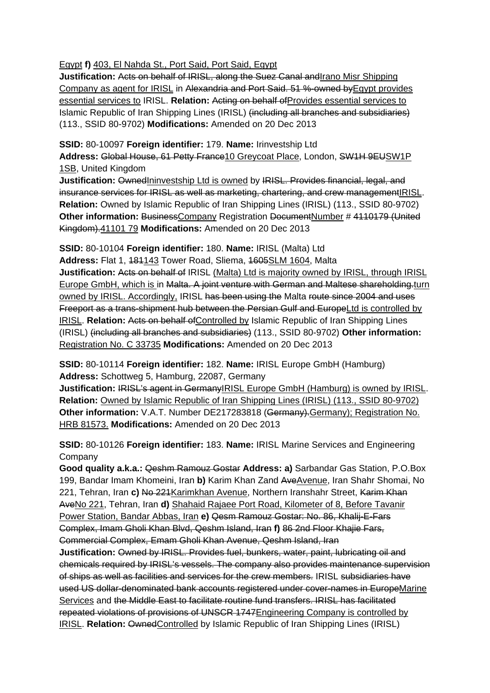Egypt **f)** 403, El Nahda St., Port Said, Port Said, Egypt

**Justification:** Acts on behalf of IRISL, along the Suez Canal and rano Misr Shipping Company as agent for IRISL in Alexandria and Port Said. 51 %-owned byEgypt provides essential services to IRISL. **Relation:** Acting on behalf ofProvides essential services to Islamic Republic of Iran Shipping Lines (IRISL) (including all branches and subsidiaries) (113., SSID 80-9702) **Modifications:** Amended on 20 Dec 2013

**SSID:** 80-10097 **Foreign identifier:** 179. **Name:** Irinvestship Ltd

**Address:** Global House, 61 Petty France10 Greycoat Place, London, SW1H 9EUSW1P 1SB, United Kingdom

**Justification:** OwnedIninvestship Ltd is owned by IRISL. Provides financial, legal, and insurance services for IRISL as well as marketing, chartering, and crew managementIRISL. **Relation:** Owned by Islamic Republic of Iran Shipping Lines (IRISL) (113., SSID 80-9702) **Other information: BusinessCompany Registration DocumentNumber # 4110179 (United** Kingdom).41101 79 **Modifications:** Amended on 20 Dec 2013

**SSID:** 80-10104 **Foreign identifier:** 180. **Name:** IRISL (Malta) Ltd

**Address:** Flat 1, 181143 Tower Road, Sliema, 1605SLM 1604, Malta

**Justification:** Acts on behalf of IRISL (Malta) Ltd is majority owned by IRISL, through IRISL Europe GmbH, which is in Malta. A joint venture with German and Maltese shareholding.turn owned by IRISL. Accordingly, IRISL has been using the Malta route since 2004 and uses Freeport as a trans-shipment hub between the Persian Gulf and EuropeLtd is controlled by IRISL. **Relation:** Acts on behalf ofControlled by Islamic Republic of Iran Shipping Lines (IRISL) (including all branches and subsidiaries) (113., SSID 80-9702) **Other information:** Registration No. C 33735 **Modifications:** Amended on 20 Dec 2013

**SSID:** 80-10114 **Foreign identifier:** 182. **Name:** IRISL Europe GmbH (Hamburg) **Address:** Schottweg 5, Hamburg, 22087, Germany

**Justification:** IRISL's agent in GermanyIRISL Europe GmbH (Hamburg) is owned by IRISL. **Relation:** Owned by Islamic Republic of Iran Shipping Lines (IRISL) (113., SSID 80-9702) **Other information:** V.A.T. Number DE217283818 (Germany). Germany); Registration No. HRB 81573. **Modifications:** Amended on 20 Dec 2013

**SSID:** 80-10126 **Foreign identifier:** 183. **Name:** IRISL Marine Services and Engineering Company

**Good quality a.k.a.:** Qeshm Ramouz Gostar **Address: a)** Sarbandar Gas Station, P.O.Box 199, Bandar Imam Khomeini, Iran **b)** Karim Khan Zand AveAvenue, Iran Shahr Shomai, No 221, Tehran, Iran **c)** No 221Karimkhan Avenue, Northern Iranshahr Street, Karim Khan AveNo 221, Tehran, Iran **d)** Shahaid Rajaee Port Road, Kilometer of 8, Before Tavanir Power Station, Bandar Abbas, Iran **e)** Qesm Ramouz Gostar: No. 86, Khalij-E-Fars Complex, Imam Gholi Khan Blvd, Qeshm Island, Iran **f)** 86 2nd Floor Khajie Fars, Commercial Complex, Emam Gholi Khan Avenue, Qeshm Island, Iran **Justification:** Owned by IRISL. Provides fuel, bunkers, water, paint, lubricating oil and chemicals required by IRISL's vessels. The company also provides maintenance supervision of ships as well as facilities and services for the crew members. IRISL subsidiaries have used US dollar-denominated bank accounts registered under cover-names in EuropeMarine Services and the Middle East to facilitate routine fund transfers. IRISL has facilitated repeated violations of provisions of UNSCR 1747Engineering Company is controlled by IRISL. **Relation:** OwnedControlled by Islamic Republic of Iran Shipping Lines (IRISL)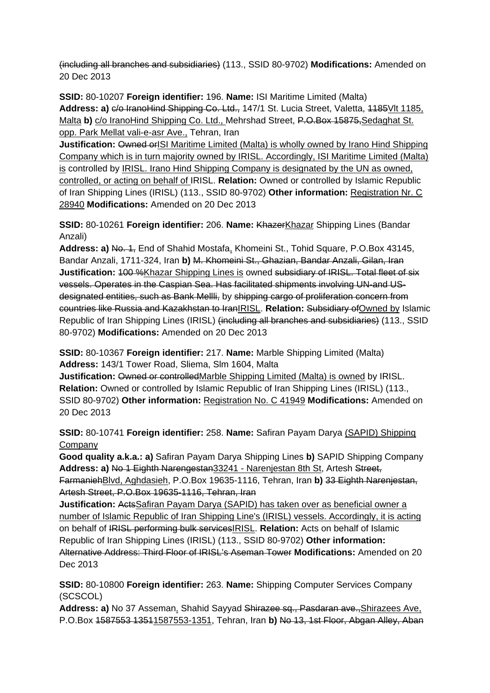(including all branches and subsidiaries) (113., SSID 80-9702) **Modifications:** Amended on 20 Dec 2013

**SSID:** 80-10207 **Foreign identifier:** 196. **Name:** ISI Maritime Limited (Malta) **Address: a)**  $\epsilon$ **/o IranoHind Shipping Co. Ltd., 147/1 St. Lucia Street, Valetta, 1185/lt 1185,** Malta **b)** *c/o IranoHind Shipping Co. Ltd., Mehrshad Street, P.O.Box 15875, Sedaghat St.* opp. Park Mellat vali-e-asr Ave., Tehran, Iran

**Justification: Owned or SI Maritime Limited (Malta) is wholly owned by Irano Hind Shipping** Company which is in turn majority owned by IRISL. Accordingly, ISI Maritime Limited (Malta) is controlled by IRISL. Irano Hind Shipping Company is designated by the UN as owned, controlled, or acting on behalf of IRISL. **Relation:** Owned or controlled by Islamic Republic of Iran Shipping Lines (IRISL) (113., SSID 80-9702) **Other information:** Registration Nr. C 28940 **Modifications:** Amended on 20 Dec 2013

**SSID:** 80-10261 **Foreign identifier:** 206. **Name:** KhazerKhazar Shipping Lines (Bandar Anzali)

**Address: a)** No. 1, End of Shahid Mostafa, Khomeini St., Tohid Square, P.O.Box 43145, Bandar Anzali, 1711-324, Iran **b)** M. Khomeini St., Ghazian, Bandar Anzali, Gilan, Iran **Justification:** 100 %Khazar Shipping Lines is owned subsidiary of IRISL. Total fleet of six vessels. Operates in the Caspian Sea. Has facilitated shipments involving UN-and USdesignated entities, such as Bank Mellli, by shipping cargo of proliferation concern from countries like Russia and Kazakhstan to IranIRISL. **Relation:** Subsidiary ofOwned by Islamic Republic of Iran Shipping Lines (IRISL) (including all branches and subsidiaries) (113., SSID 80-9702) **Modifications:** Amended on 20 Dec 2013

**SSID:** 80-10367 **Foreign identifier:** 217. **Name:** Marble Shipping Limited (Malta) **Address:** 143/1 Tower Road, Sliema, Slm 1604, Malta

**Justification:** Owned or controlledMarble Shipping Limited (Malta) is owned by IRISL. **Relation:** Owned or controlled by Islamic Republic of Iran Shipping Lines (IRISL) (113., SSID 80-9702) **Other information:** Registration No. C 41949 **Modifications:** Amended on 20 Dec 2013

**SSID:** 80-10741 **Foreign identifier:** 258. **Name:** Safiran Payam Darya (SAPID) Shipping Company

**Good quality a.k.a.: a)** Safiran Payam Darya Shipping Lines **b)** SAPID Shipping Company **Address: a)** No 1 Eighth Narengestan33241 - Narenjestan 8th St, Artesh Street,

FarmaniehBlvd, Aghdasieh, P.O.Box 19635-1116, Tehran, Iran **b)** 33 Eighth Narenjestan, Artesh Street, P.O.Box 19635-1116, Tehran, Iran

**Justification:** ActsSafiran Payam Darya (SAPID) has taken over as beneficial owner a number of Islamic Republic of Iran Shipping Line's (IRISL) vessels. Accordingly, it is acting on behalf of IRISL performing bulk servicesIRISL. **Relation:** Acts on behalf of Islamic Republic of Iran Shipping Lines (IRISL) (113., SSID 80-9702) **Other information:** Alternative Address: Third Floor of IRISL's Aseman Tower **Modifications:** Amended on 20 Dec 2013

**SSID:** 80-10800 **Foreign identifier:** 263. **Name:** Shipping Computer Services Company (SCSCOL)

**Address: a)** No 37 Asseman, Shahid Sayyad Shirazee sq., Pasdaran ave.,Shirazees Ave, P.O.Box 1587553 13511587553-1351, Tehran, Iran **b)** No 13, 1st Floor, Abgan Alley, Aban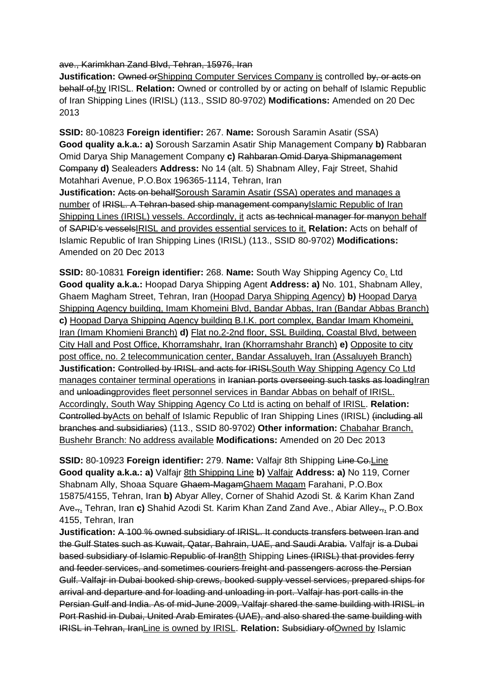ave., Karimkhan Zand Blvd, Tehran, 15976, Iran

**Justification:** Owned or Shipping Computer Services Company is controlled by, or acts on behalf of,by IRISL. **Relation:** Owned or controlled by or acting on behalf of Islamic Republic of Iran Shipping Lines (IRISL) (113., SSID 80-9702) **Modifications:** Amended on 20 Dec 2013

**SSID:** 80-10823 **Foreign identifier:** 267. **Name:** Soroush Saramin Asatir (SSA) **Good quality a.k.a.: a)** Soroush Sarzamin Asatir Ship Management Company **b)** Rabbaran Omid Darya Ship Management Company **c)** Rahbaran Omid Darya Shipmanagement Company **d)** Sealeaders **Address:** No 14 (alt. 5) Shabnam Alley, Fajr Street, Shahid Motahhari Avenue, P.O.Box 196365-1114, Tehran, Iran

**Justification:** Acts on behalfSoroush Saramin Asatir (SSA) operates and manages a number of IRISL. A Tehran-based ship management companyIslamic Republic of Iran Shipping Lines (IRISL) vessels. Accordingly, it acts as technical manager for manyon behalf of SAPID's vesselsIRISL and provides essential services to it. **Relation:** Acts on behalf of Islamic Republic of Iran Shipping Lines (IRISL) (113., SSID 80-9702) **Modifications:**  Amended on 20 Dec 2013

**SSID:** 80-10831 **Foreign identifier:** 268. **Name:** South Way Shipping Agency Co. Ltd **Good quality a.k.a.:** Hoopad Darya Shipping Agent **Address: a)** No. 101, Shabnam Alley, Ghaem Magham Street, Tehran, Iran (Hoopad Darya Shipping Agency) **b)** Hoopad Darya Shipping Agency building, Imam Khomeini Blvd, Bandar Abbas, Iran (Bandar Abbas Branch) **c)** Hoopad Darya Shipping Agency building B.I.K. port complex, Bandar Imam Khomeini, Iran (Imam Khomieni Branch) **d)** Flat no.2-2nd floor, SSL Building, Coastal Blvd, between City Hall and Post Office, Khorramshahr, Iran (Khorramshahr Branch) **e)** Opposite to city post office, no. 2 telecommunication center, Bandar Assaluyeh, Iran (Assaluyeh Branch) **Justification:** Controlled by IRISL and acts for IRISLSouth Way Shipping Agency Co Ltd manages container terminal operations in Iranian ports overseeing such tasks as loading Iran and unloadingprovides fleet personnel services in Bandar Abbas on behalf of IRISL. Accordingly, South Way Shipping Agency Co Ltd is acting on behalf of IRISL. **Relation:** Controlled byActs on behalf of Islamic Republic of Iran Shipping Lines (IRISL) (including all branches and subsidiaries) (113., SSID 80-9702) **Other information:** Chabahar Branch, Bushehr Branch: No address available **Modifications:** Amended on 20 Dec 2013

**SSID:** 80-10923 **Foreign identifier:** 279. **Name:** Valfajr 8th Shipping Line Co.Line **Good quality a.k.a.: a)** Valfajr 8th Shipping Line **b)** Valfajr **Address: a)** No 119, Corner Shabnam Ally, Shoaa Square Ghaem-MagamGhaem Magam Farahani, P.O.Box 15875/4155, Tehran, Iran **b)** Abyar Alley, Corner of Shahid Azodi St. & Karim Khan Zand Ave<sub>.</sub>, Tehran, Iran **c)** Shahid Azodi St. Karim Khan Zand Zand Ave., Abiar Alley., P.O.Box 4155, Tehran, Iran

**Justification:** A 100 % owned subsidiary of IRISL. It conducts transfers between Iran and the Gulf States such as Kuwait, Qatar, Bahrain, UAE, and Saudi Arabia. Valfajr is a Dubai based subsidiary of Islamic Republic of Iran8th Shipping Lines (IRISL) that provides ferry and feeder services, and sometimes couriers freight and passengers across the Persian Gulf. Valfajr in Dubai booked ship crews, booked supply vessel services, prepared ships for arrival and departure and for loading and unloading in port. Valfajr has port calls in the Persian Gulf and India. As of mid-June 2009, Valfajr shared the same building with IRISL in Port Rashid in Dubai, United Arab Emirates (UAE), and also shared the same building with IRISL in Tehran, IranLine is owned by IRISL. **Relation:** Subsidiary ofOwned by Islamic